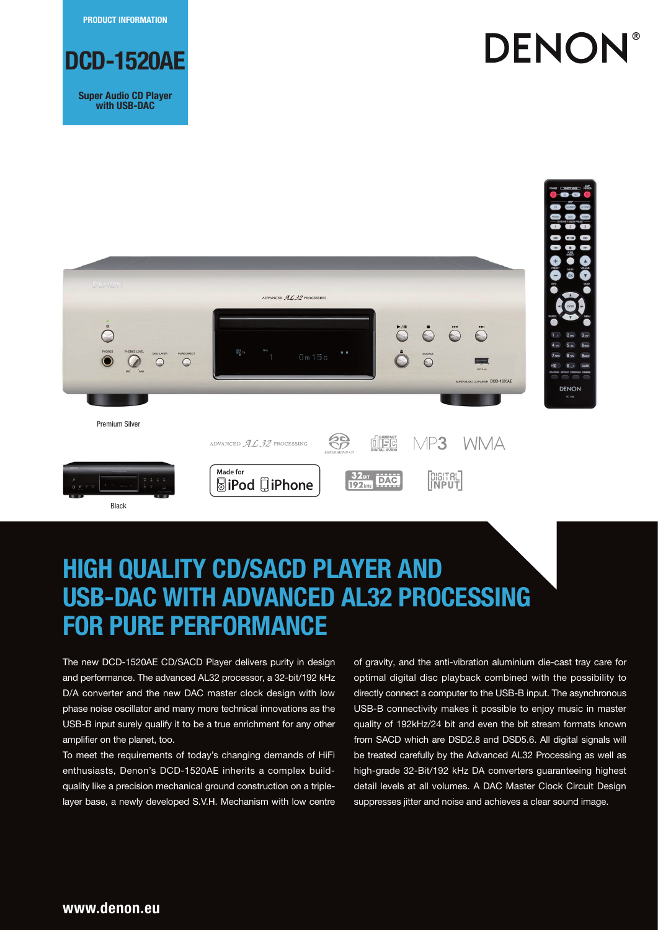**PRODUCT INFORMATION**



**Super Audio CD Player with USB-DAC**







The new DCD-1520AE CD/SACD Player delivers purity in design and performance. The advanced AL32 processor, a 32-bit/192 kHz D/A converter and the new DAC master clock design with low phase noise oscillator and many more technical innovations as the USB-B input surely qualify it to be a true enrichment for any other amplifier on the planet, too.

To meet the requirements of today's changing demands of HiFi enthusiasts, Denon's DCD-1520AE inherits a complex buildquality like a precision mechanical ground construction on a triplelayer base, a newly developed S.V.H. Mechanism with low centre of gravity, and the anti-vibration aluminium die-cast tray care for optimal digital disc playback combined with the possibility to directly connect a computer to the USB-B input. The asynchronous USB-B connectivity makes it possible to enjoy music in master quality of 192kHz/24 bit and even the bit stream formats known from SACD which are DSD2.8 and DSD5.6. All digital signals will be treated carefully by the Advanced AL32 Processing as well as high-grade 32-Bit/192 kHz DA converters guaranteeing highest detail levels at all volumes. A DAC Master Clock Circuit Design suppresses jitter and noise and achieves a clear sound image.